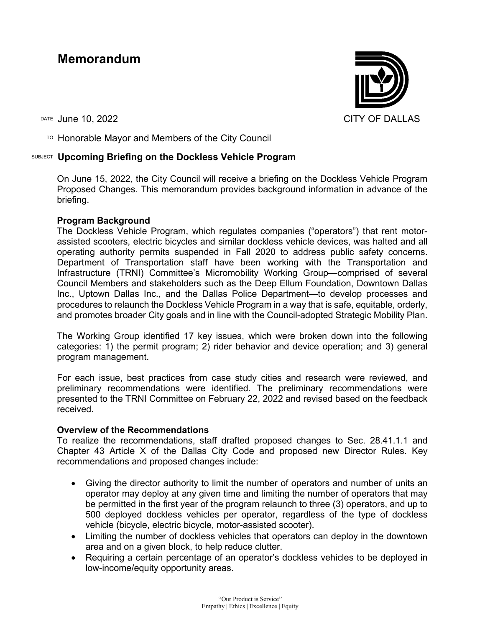# **Memorandum**

 $T$ <sup>O</sup> Honorable Mayor and Members of the City Council

## SUBJECT **Upcoming Briefing on the Dockless Vehicle Program**

On June 15, 2022, the City Council will receive a briefing on the Dockless Vehicle Program Proposed Changes. This memorandum provides background information in advance of the briefing.

## **Program Background**

The Dockless Vehicle Program, which regulates companies ("operators") that rent motorassisted scooters, electric bicycles and similar dockless vehicle devices, was halted and all operating authority permits suspended in Fall 2020 to address public safety concerns. Department of Transportation staff have been working with the Transportation and Infrastructure (TRNI) Committee's Micromobility Working Group—comprised of several Council Members and stakeholders such as the Deep Ellum Foundation, Downtown Dallas Inc., Uptown Dallas Inc., and the Dallas Police Department—to develop processes and procedures to relaunch the Dockless Vehicle Program in a way that is safe, equitable, orderly, and promotes broader City goals and in line with the Council-adopted Strategic Mobility Plan.

The Working Group identified 17 key issues, which were broken down into the following categories: 1) the permit program; 2) rider behavior and device operation; and 3) general program management.

For each issue, best practices from case study cities and research were reviewed, and preliminary recommendations were identified. The preliminary recommendations were presented to the TRNI Committee on February 22, 2022 and revised based on the feedback received.

### **Overview of the Recommendations**

To realize the recommendations, staff drafted proposed changes to Sec. 28.41.1.1 and Chapter 43 Article X of the Dallas City Code and proposed new Director Rules. Key recommendations and proposed changes include:

- Giving the director authority to limit the number of operators and number of units an operator may deploy at any given time and limiting the number of operators that may be permitted in the first year of the program relaunch to three (3) operators, and up to 500 deployed dockless vehicles per operator, regardless of the type of dockless vehicle (bicycle, electric bicycle, motor-assisted scooter).
- Limiting the number of dockless vehicles that operators can deploy in the downtown area and on a given block, to help reduce clutter.
- Requiring a certain percentage of an operator's dockless vehicles to be deployed in low-income/equity opportunity areas.